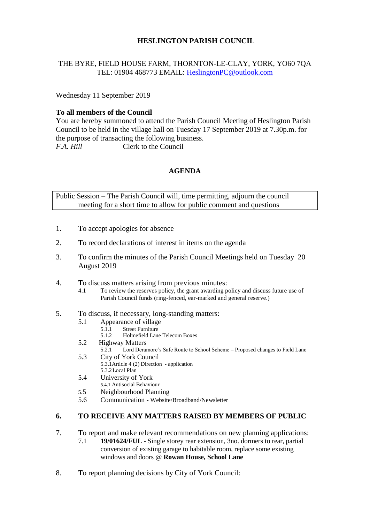# **HESLINGTON PARISH COUNCIL**

# THE BYRE, FIELD HOUSE FARM, THORNTON-LE-CLAY, YORK, YO60 7QA TEL: 01904 468773 EMAIL: [HeslingtonPC@outlook.com](mailto:HeslingtonPC@outlook.com)

Wednesday 11 September 2019

#### **To all members of the Council**

You are hereby summoned to attend the Parish Council Meeting of Heslington Parish Council to be held in the village hall on Tuesday 17 September 2019 at 7.30p.m. for the purpose of transacting the following business. *F.A. Hill* Clerk to the Council

# **AGENDA**

Public Session – The Parish Council will, time permitting, adjourn the council meeting for a short time to allow for public comment and questions

- 1. To accept apologies for absence
- 2. To record declarations of interest in items on the agenda
- 3. To confirm the minutes of the Parish Council Meetings held on Tuesday 20 August 2019
- 4. To discuss matters arising from previous minutes:
	- 4.1 To review the reserves policy, the grant awarding policy and discuss future use of Parish Council funds (ring-fenced, ear-marked and general reserve.)
- 5. To discuss, if necessary, long-standing matters:
	- 5.1 Appearance of village
		- 5.1.1 Street Furniture
		- 5.1.2 Holmefield Lane Telecom Boxes
	- 5.2 Highway Matters
		- 5.2.1 Lord Deramore's Safe Route to School Scheme Proposed changes to Field Lane
	- 5.3 City of York Council

5.3.1Article 4 (2) Direction - application 5.3.2Local Plan

- 5.4 University of York
	- 5.4.1 Antisocial Behaviour
- 5.5 Neighbourhood Planning
- 5.6 Communication Website/Broadband/Newsletter

# **6. TO RECEIVE ANY MATTERS RAISED BY MEMBERS OF PUBLIC**

- 7. To report and make relevant recommendations on new planning applications:
	- 7.1 **19/01624/FUL** Single storey rear extension, 3no. dormers to rear, partial conversion of existing garage to habitable room, replace some existing windows and doors @ **Rowan House, School Lane**
- 8. To report planning decisions by City of York Council: